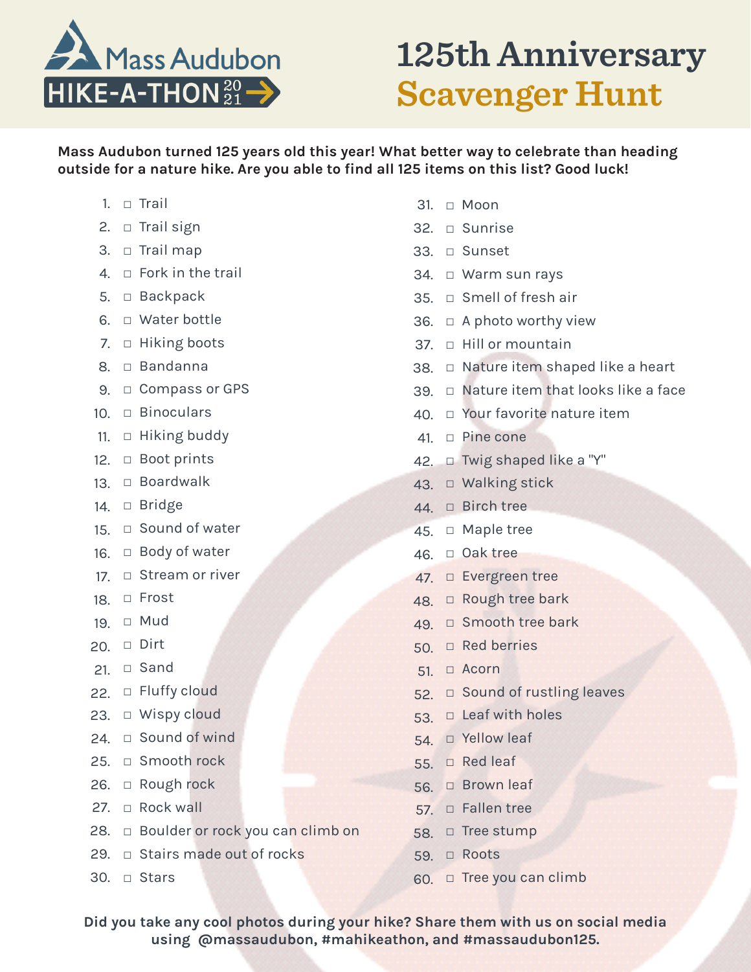

**125th Anniversary Scavenger Hunt**

**Mass Audubon turned 125 years old this year! What better way to celebrate than heading outside for a nature hike. Are you able to find all 125 items on this list? Good luck!**

- 1. □ Trail
- 2. □ Trail sign
- 3. □ Trail map
- 4. □ Fork in the trail
- 5. □ Backpack
- 6. □ Water bottle
- 7. □ Hiking boots
- 8. □ Bandanna
- 9. □ Compass or GPS
- 10. □ Binoculars
- 11. □ Hiking buddy
- 12. □ Boot prints
- 13. □ Boardwalk
- 14. □ Bridge
- 15. □ Sound of water
- 16. □ Body of water
- 17. □ Stream or river
- 18. □ Frost
- 19. □ Mud
- 20. □ Dirt
- 21. □ Sand
- 22. □ Fluffy cloud
- 23. □ Wispy cloud
- 24. □ Sound of wind
- 25. □ Smooth rock
- 26. □ Rough rock
- 27. □ Rock wall
- 28. □ Boulder or rock you can climb on
- 29. □ Stairs made out of rocks
- 30. □ Stars
- 31. □ Moon
- 32. □ Sunrise
- 33. □ Sunset
- 34. □ Warm sun rays
- 35. □ Smell of fresh air
- 36.  $\Box$  A photo worthy view
- 37. □ Hill or mountain
- 38. □ Nature item shaped like a heart
- 39. □ Nature item that looks like a face
- 40. □ Your favorite nature item
- 41. □ Pine cone
- 42. □ Twig shaped like a "Y"
- 43. □ Walking stick
- 44. □ Birch tree
- 45. □ Maple tree
- 46. □ Oak tree
- 47. □ Evergreen tree
- 48. □ Rough tree bark
- 49. □ Smooth tree bark
- 50. □ Red berries
- $51. \square$  Acorn
- 52. □ Sound of rustling leaves
- 53.  $\Box$  Leaf with holes
- 54. □ Yellow leaf
- 55. □ Red leaf
- 56. □ Brown leaf
- 57. □ Fallen tree
- 58. □ Tree stump
- 59. □ Roots
- 60. □ Tree you can climb

**Did you take any cool photos during your hike? Share them with us on social media using @massaudubon, #mahikeathon, and #massaudubon125.**